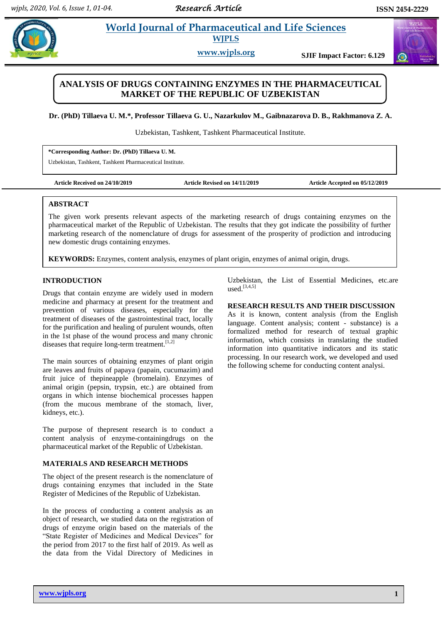$\omega$ 

# **Property also allegates** *World Journal of Pharmaceutical and Life Sciences* **WJPLS**

**www.wjpls.org SJIF Impact Factor: 6.129**

## **ANALYSIS OF DRUGS CONTAINING ENZYMES IN THE PHARMACEUTICAL MARKET OF THE REPUBLIC OF UZBEKISTAN**

**Dr. (PhD) Tillaeva U. M.\*, Professor Tillaeva G. U., Nazarkulov M., Gaibnazarova D. B., Rakhmanova Z. A.**

Uzbekistan, Tashkent, Tashkent Pharmaceutical Institute.

**\*Corresponding Author: Dr. (PhD) Tillaeva U. M.**

Uzbekistan, Tashkent, Tashkent Pharmaceutical Institute.

**Article Received on 24/10/2019 Article Revised on 14/11/2019 Article Accepted on 05/12/2019**

### **ABSTRACT**

The given work presents relevant aspects of the marketing research of drugs containing enzymes on the pharmaceutical market of the Republic of Uzbekistan. The results that they got indicate the possibility of further marketing research of the nomenclature of drugs for assessment of the prosperity of prodiction and introducing new domestic drugs containing enzymes.

**KEYWORDS:** Enzymes, content analysis, enzymes of plant origin, enzymes of animal origin, drugs.

#### **INTRODUCTION**

Drugs that contain enzyme are widely used in modern medicine and pharmacy at present for the treatment and prevention of various diseases, especially for the treatment of diseases of the gastrointestinal tract, locally for the purification and healing of purulent wounds, often in the 1st phase of the wound process and many chronic diseases that require long-term treatment.<sup>[1,2]</sup>

The main sources of obtaining enzymes of plant origin are leaves and fruits of papaya (papain, cucumazim) and fruit juice of thepineapple (bromelain). Enzymes of animal origin (pepsin, trypsin, etc.) are obtained from organs in which intense biochemical processes happen (from the mucous membrane of the stomach, liver, kidneys, etc.).

The purpose of thepresent research is to conduct a content analysis of enzyme-containingdrugs on the pharmaceutical market of the Republic of Uzbekistan.

#### **MATERIALS AND RESEARCH METHODS**

The object of the present research is the nomenclature of drugs containing enzymes that included in the State Register of Medicines of the Republic of Uzbekistan.

In the process of conducting a content analysis as an object of research, we studied data on the registration of drugs of enzyme origin based on the materials of the "State Register of Medicines and Medical Devices" for the period from 2017 to the first half of 2019. As well as the data from the Vidal Directory of Medicines in

Uzbekistan, the List of Essential Medicines, etc.are used. [3,4,5]

#### **RESEARCH RESULTS AND THEIR DISCUSSION**

As it is known, content analysis (from the English language. Content analysis; content - substance) is a formalized method for research of textual graphic information, which consists in translating the studied information into quantitative indicators and its static processing. In our research work, we developed and used the following scheme for conducting content analysi.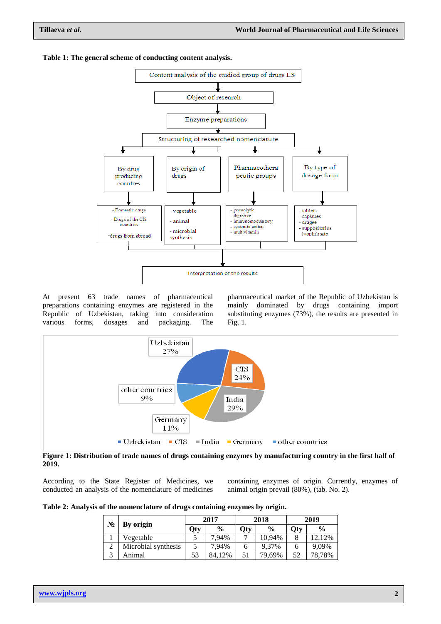

#### **Table 1: The general scheme of conducting content analysis.**

At present 63 trade names of pharmaceutical preparations containing enzymes are registered in the Republic of Uzbekistan, taking into consideration various forms, dosages and packaging. The

pharmaceutical market of the Republic of Uzbekistan is mainly dominated by drugs containing import substituting enzymes (73%), the results are presented in Fig. 1.



#### **Figure 1: Distribution of trade names of drugs containing enzymes by manufacturing country in the first half of 2019.**

According to the State Register of Medicines, we conducted an analysis of the nomenclature of medicines

containing enzymes of origin. Currently, enzymes of animal origin prevail (80%), (tab. No. 2).

**Table 2: Analysis of the nomenclature of drugs containing enzymes by origin.**

| No | By origin           | 2017 |               | 2018 |               | 2019 |               |
|----|---------------------|------|---------------|------|---------------|------|---------------|
|    |                     | Qty  | $\frac{0}{0}$ | Qty  | $\frac{0}{0}$ | Qty  | $\frac{0}{0}$ |
|    | Vegetable           |      | 7.94%         |      | 10,94%        | 8    | 2,12%         |
|    | Microbial synthesis |      | 7.94%         |      | 9.37%         | O    | 9.09%         |
|    | nimal               | 53   | 84.12%        |      | 79,69%        | 52   | 78,78%        |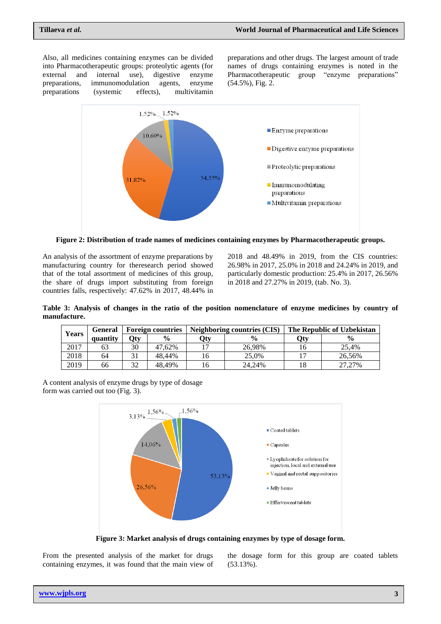Also, all medicines containing enzymes can be divided into Pharmacotherapeutic groups: proteolytic agents (for external and internal use), digestive enzyme preparations, immunomodulation agents, enzyme preparations (systemic effects), multivitamin

preparations and other drugs. The largest amount of trade names of drugs containing enzymes is noted in the Pharmacotherapeutic group "enzyme preparations" (54.5%), Fig. 2.



**Figure 2: Distribution of trade names of medicines containing enzymes by Pharmacotherapeutic groups.**

An analysis of the assortment of enzyme preparations by manufacturing country for theresearch period showed that of the total assortment of medicines of this group, the share of drugs import substituting from foreign countries falls, respectively: 47.62% in 2017, 48.44% in

2018 and 48.49% in 2019, from the CIS countries: 26.98% in 2017, 25.0% in 2018 and 24.24% in 2019, and particularly domestic production: 25.4% in 2017, 26.56% in 2018 and 27.27% in 2019, (tab. No. 3).

**Table 3: Analysis of changes in the ratio of the position nomenclature of enzyme medicines by country of manufacture.**

| Years | <b>General</b> | <b>Foreign countries</b> |               |     | Neighboring countries (CIS) | The Republic of Uzbekistan |               |  |
|-------|----------------|--------------------------|---------------|-----|-----------------------------|----------------------------|---------------|--|
|       | quantity       | Otv                      | $\frac{0}{0}$ | Qty | $\frac{0}{0}$               | Qty                        | $\frac{0}{0}$ |  |
| 2017  | 63             | 30                       | 47.62%        |     | 26.98%                      |                            | 25.4%         |  |
| 2018  | 64             |                          | 48.44%        | 16  | 25.0%                       |                            | 26.56%        |  |
| 2019  | 66             | 20                       | 48.49%        | 16  | 24,24%                      |                            | 27.27%        |  |

A content analysis of enzyme drugs by type of dosage form was carried out too (Fig. 3).



**Figure 3: Market analysis of drugs containing enzymes by type of dosage form.**

From the presented analysis of the market for drugs containing enzymes, it was found that the main view of the dosage form for this group are coated tablets (53.13%).